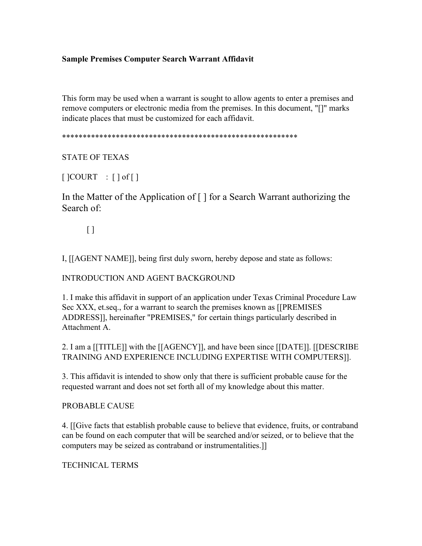# **Sample Premises Computer Search Warrant Affidavit**

This form may be used when a warrant is sought to allow agents to enter a premises and remove computers or electronic media from the premises. In this document, "[]" marks indicate places that must be customized for each affidavit.

\*\*\*\*\*\*\*\*\*\*\*\*\*\*\*\*\*\*\*\*\*\*\*\*\*\*\*\*\*\*\*\*\*\*\*\*\*\*\*\*\*\*\*\*\*\*\*\*\*\*\*\*\*\*\*\*\*

STATE OF TEXAS

[ ]COURT : [ ] of [ ]

In the Matter of the Application of [ ] for a Search Warrant authorizing the Search of:

 $\left[ \ \right]$ 

I, [[AGENT NAME]], being first duly sworn, hereby depose and state as follows:

## INTRODUCTION AND AGENT BACKGROUND

1. I make this affidavit in support of an application under Texas Criminal Procedure Law Sec XXX, et.seq., for a warrant to search the premises known as [[PREMISES ADDRESS]], hereinafter "PREMISES," for certain things particularly described in Attachment A.

2. I am a [[TITLE]] with the [[AGENCY]], and have been since [[DATE]]. [[DESCRIBE TRAINING AND EXPERIENCE INCLUDING EXPERTISE WITH COMPUTERS]].

3. This affidavit is intended to show only that there is sufficient probable cause for the requested warrant and does not set forth all of my knowledge about this matter.

#### PROBABLE CAUSE

4. [[Give facts that establish probable cause to believe that evidence, fruits, or contraband can be found on each computer that will be searched and/or seized, or to believe that the computers may be seized as contraband or instrumentalities.]]

TECHNICAL TERMS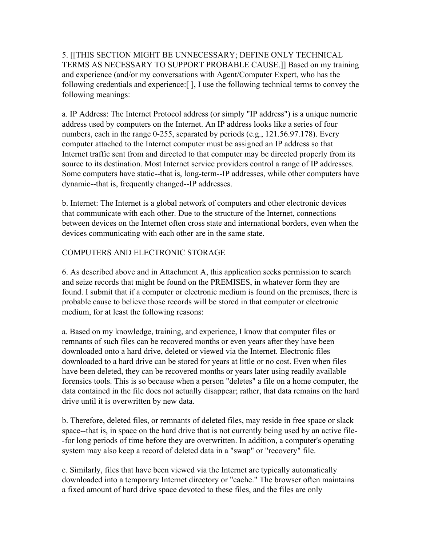5. [[THIS SECTION MIGHT BE UNNECESSARY; DEFINE ONLY TECHNICAL TERMS AS NECESSARY TO SUPPORT PROBABLE CAUSE.]] Based on my training and experience (and/or my conversations with Agent/Computer Expert, who has the following credentials and experience:[ ], I use the following technical terms to convey the following meanings:

a. IP Address: The Internet Protocol address (or simply "IP address") is a unique numeric address used by computers on the Internet. An IP address looks like a series of four numbers, each in the range 0-255, separated by periods (e.g., 121.56.97.178). Every computer attached to the Internet computer must be assigned an IP address so that Internet traffic sent from and directed to that computer may be directed properly from its source to its destination. Most Internet service providers control a range of IP addresses. Some computers have static--that is, long-term--IP addresses, while other computers have dynamic--that is, frequently changed--IP addresses.

b. Internet: The Internet is a global network of computers and other electronic devices that communicate with each other. Due to the structure of the Internet, connections between devices on the Internet often cross state and international borders, even when the devices communicating with each other are in the same state.

# COMPUTERS AND ELECTRONIC STORAGE

6. As described above and in Attachment A, this application seeks permission to search and seize records that might be found on the PREMISES, in whatever form they are found. I submit that if a computer or electronic medium is found on the premises, there is probable cause to believe those records will be stored in that computer or electronic medium, for at least the following reasons:

a. Based on my knowledge, training, and experience, I know that computer files or remnants of such files can be recovered months or even years after they have been downloaded onto a hard drive, deleted or viewed via the Internet. Electronic files downloaded to a hard drive can be stored for years at little or no cost. Even when files have been deleted, they can be recovered months or years later using readily available forensics tools. This is so because when a person "deletes" a file on a home computer, the data contained in the file does not actually disappear; rather, that data remains on the hard drive until it is overwritten by new data.

b. Therefore, deleted files, or remnants of deleted files, may reside in free space or slack space--that is, in space on the hard drive that is not currently being used by an active file- -for long periods of time before they are overwritten. In addition, a computer's operating system may also keep a record of deleted data in a "swap" or "recovery" file.

c. Similarly, files that have been viewed via the Internet are typically automatically downloaded into a temporary Internet directory or "cache." The browser often maintains a fixed amount of hard drive space devoted to these files, and the files are only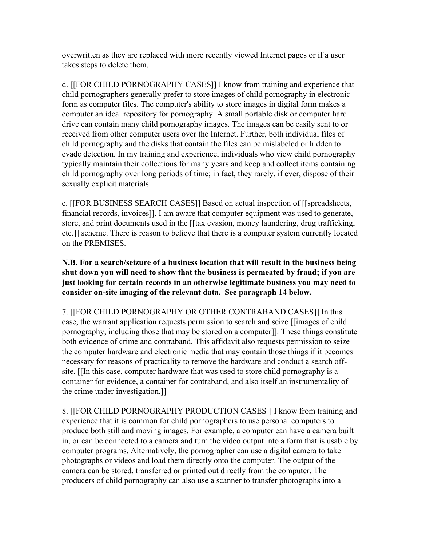overwritten as they are replaced with more recently viewed Internet pages or if a user takes steps to delete them.

d. [[FOR CHILD PORNOGRAPHY CASES]] I know from training and experience that child pornographers generally prefer to store images of child pornography in electronic form as computer files. The computer's ability to store images in digital form makes a computer an ideal repository for pornography. A small portable disk or computer hard drive can contain many child pornography images. The images can be easily sent to or received from other computer users over the Internet. Further, both individual files of child pornography and the disks that contain the files can be mislabeled or hidden to evade detection. In my training and experience, individuals who view child pornography typically maintain their collections for many years and keep and collect items containing child pornography over long periods of time; in fact, they rarely, if ever, dispose of their sexually explicit materials.

e. [[FOR BUSINESS SEARCH CASES]] Based on actual inspection of [[spreadsheets, financial records, invoices]], I am aware that computer equipment was used to generate, store, and print documents used in the [[tax evasion, money laundering, drug trafficking, etc.]] scheme. There is reason to believe that there is a computer system currently located on the PREMISES.

**N.B. For a search/seizure of a business location that will result in the business being shut down you will need to show that the business is permeated by fraud; if you are just looking for certain records in an otherwise legitimate business you may need to consider on-site imaging of the relevant data. See paragraph 14 below.** 

7. [[FOR CHILD PORNOGRAPHY OR OTHER CONTRABAND CASES]] In this case, the warrant application requests permission to search and seize [[images of child pornography, including those that may be stored on a computer]]. These things constitute both evidence of crime and contraband. This affidavit also requests permission to seize the computer hardware and electronic media that may contain those things if it becomes necessary for reasons of practicality to remove the hardware and conduct a search offsite. [[In this case, computer hardware that was used to store child pornography is a container for evidence, a container for contraband, and also itself an instrumentality of the crime under investigation.]]

8. [[FOR CHILD PORNOGRAPHY PRODUCTION CASES]] I know from training and experience that it is common for child pornographers to use personal computers to produce both still and moving images. For example, a computer can have a camera built in, or can be connected to a camera and turn the video output into a form that is usable by computer programs. Alternatively, the pornographer can use a digital camera to take photographs or videos and load them directly onto the computer. The output of the camera can be stored, transferred or printed out directly from the computer. The producers of child pornography can also use a scanner to transfer photographs into a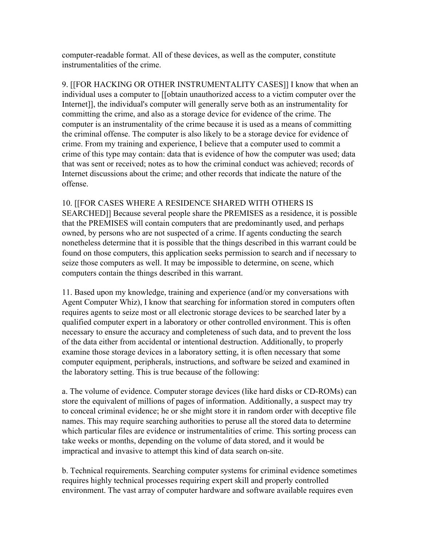computer-readable format. All of these devices, as well as the computer, constitute instrumentalities of the crime.

9. [[FOR HACKING OR OTHER INSTRUMENTALITY CASES]] I know that when an individual uses a computer to [[obtain unauthorized access to a victim computer over the Internet]], the individual's computer will generally serve both as an instrumentality for committing the crime, and also as a storage device for evidence of the crime. The computer is an instrumentality of the crime because it is used as a means of committing the criminal offense. The computer is also likely to be a storage device for evidence of crime. From my training and experience, I believe that a computer used to commit a crime of this type may contain: data that is evidence of how the computer was used; data that was sent or received; notes as to how the criminal conduct was achieved; records of Internet discussions about the crime; and other records that indicate the nature of the offense.

10. [[FOR CASES WHERE A RESIDENCE SHARED WITH OTHERS IS SEARCHED]] Because several people share the PREMISES as a residence, it is possible that the PREMISES will contain computers that are predominantly used, and perhaps owned, by persons who are not suspected of a crime. If agents conducting the search nonetheless determine that it is possible that the things described in this warrant could be found on those computers, this application seeks permission to search and if necessary to seize those computers as well. It may be impossible to determine, on scene, which computers contain the things described in this warrant.

11. Based upon my knowledge, training and experience (and/or my conversations with Agent Computer Whiz), I know that searching for information stored in computers often requires agents to seize most or all electronic storage devices to be searched later by a qualified computer expert in a laboratory or other controlled environment. This is often necessary to ensure the accuracy and completeness of such data, and to prevent the loss of the data either from accidental or intentional destruction. Additionally, to properly examine those storage devices in a laboratory setting, it is often necessary that some computer equipment, peripherals, instructions, and software be seized and examined in the laboratory setting. This is true because of the following:

a. The volume of evidence. Computer storage devices (like hard disks or CD-ROMs) can store the equivalent of millions of pages of information. Additionally, a suspect may try to conceal criminal evidence; he or she might store it in random order with deceptive file names. This may require searching authorities to peruse all the stored data to determine which particular files are evidence or instrumentalities of crime. This sorting process can take weeks or months, depending on the volume of data stored, and it would be impractical and invasive to attempt this kind of data search on-site.

b. Technical requirements. Searching computer systems for criminal evidence sometimes requires highly technical processes requiring expert skill and properly controlled environment. The vast array of computer hardware and software available requires even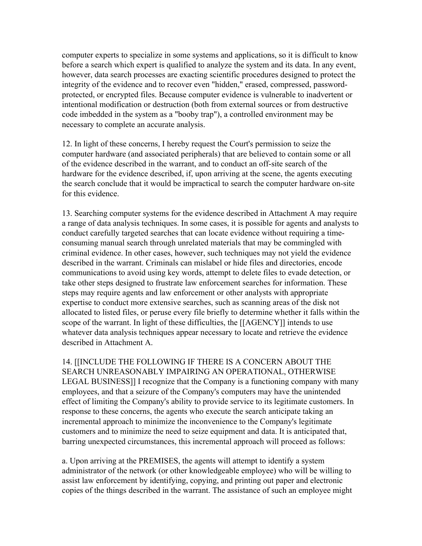computer experts to specialize in some systems and applications, so it is difficult to know before a search which expert is qualified to analyze the system and its data. In any event, however, data search processes are exacting scientific procedures designed to protect the integrity of the evidence and to recover even "hidden," erased, compressed, passwordprotected, or encrypted files. Because computer evidence is vulnerable to inadvertent or intentional modification or destruction (both from external sources or from destructive code imbedded in the system as a "booby trap"), a controlled environment may be necessary to complete an accurate analysis.

12. In light of these concerns, I hereby request the Court's permission to seize the computer hardware (and associated peripherals) that are believed to contain some or all of the evidence described in the warrant, and to conduct an off-site search of the hardware for the evidence described, if, upon arriving at the scene, the agents executing the search conclude that it would be impractical to search the computer hardware on-site for this evidence.

13. Searching computer systems for the evidence described in Attachment A may require a range of data analysis techniques. In some cases, it is possible for agents and analysts to conduct carefully targeted searches that can locate evidence without requiring a timeconsuming manual search through unrelated materials that may be commingled with criminal evidence. In other cases, however, such techniques may not yield the evidence described in the warrant. Criminals can mislabel or hide files and directories, encode communications to avoid using key words, attempt to delete files to evade detection, or take other steps designed to frustrate law enforcement searches for information. These steps may require agents and law enforcement or other analysts with appropriate expertise to conduct more extensive searches, such as scanning areas of the disk not allocated to listed files, or peruse every file briefly to determine whether it falls within the scope of the warrant. In light of these difficulties, the [[AGENCY]] intends to use whatever data analysis techniques appear necessary to locate and retrieve the evidence described in Attachment A.

14. [[INCLUDE THE FOLLOWING IF THERE IS A CONCERN ABOUT THE SEARCH UNREASONABLY IMPAIRING AN OPERATIONAL, OTHERWISE LEGAL BUSINESS]] I recognize that the Company is a functioning company with many employees, and that a seizure of the Company's computers may have the unintended effect of limiting the Company's ability to provide service to its legitimate customers. In response to these concerns, the agents who execute the search anticipate taking an incremental approach to minimize the inconvenience to the Company's legitimate customers and to minimize the need to seize equipment and data. It is anticipated that, barring unexpected circumstances, this incremental approach will proceed as follows:

a. Upon arriving at the PREMISES, the agents will attempt to identify a system administrator of the network (or other knowledgeable employee) who will be willing to assist law enforcement by identifying, copying, and printing out paper and electronic copies of the things described in the warrant. The assistance of such an employee might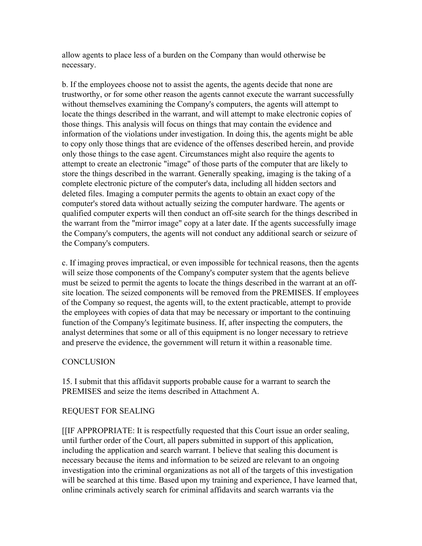allow agents to place less of a burden on the Company than would otherwise be necessary.

b. If the employees choose not to assist the agents, the agents decide that none are trustworthy, or for some other reason the agents cannot execute the warrant successfully without themselves examining the Company's computers, the agents will attempt to locate the things described in the warrant, and will attempt to make electronic copies of those things. This analysis will focus on things that may contain the evidence and information of the violations under investigation. In doing this, the agents might be able to copy only those things that are evidence of the offenses described herein, and provide only those things to the case agent. Circumstances might also require the agents to attempt to create an electronic "image" of those parts of the computer that are likely to store the things described in the warrant. Generally speaking, imaging is the taking of a complete electronic picture of the computer's data, including all hidden sectors and deleted files. Imaging a computer permits the agents to obtain an exact copy of the computer's stored data without actually seizing the computer hardware. The agents or qualified computer experts will then conduct an off-site search for the things described in the warrant from the "mirror image" copy at a later date. If the agents successfully image the Company's computers, the agents will not conduct any additional search or seizure of the Company's computers.

c. If imaging proves impractical, or even impossible for technical reasons, then the agents will seize those components of the Company's computer system that the agents believe must be seized to permit the agents to locate the things described in the warrant at an offsite location. The seized components will be removed from the PREMISES. If employees of the Company so request, the agents will, to the extent practicable, attempt to provide the employees with copies of data that may be necessary or important to the continuing function of the Company's legitimate business. If, after inspecting the computers, the analyst determines that some or all of this equipment is no longer necessary to retrieve and preserve the evidence, the government will return it within a reasonable time.

## **CONCLUSION**

15. I submit that this affidavit supports probable cause for a warrant to search the PREMISES and seize the items described in Attachment A.

## REQUEST FOR SEALING

[[IF APPROPRIATE: It is respectfully requested that this Court issue an order sealing, until further order of the Court, all papers submitted in support of this application, including the application and search warrant. I believe that sealing this document is necessary because the items and information to be seized are relevant to an ongoing investigation into the criminal organizations as not all of the targets of this investigation will be searched at this time. Based upon my training and experience, I have learned that, online criminals actively search for criminal affidavits and search warrants via the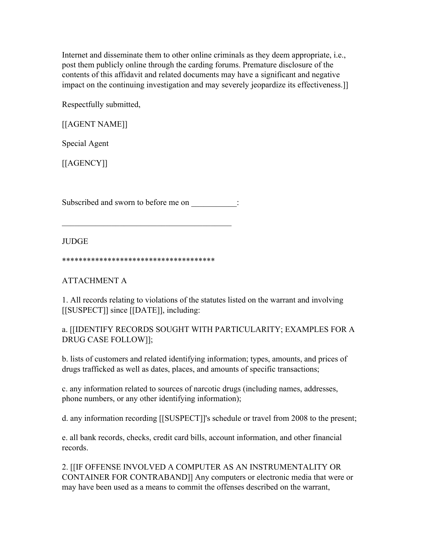Internet and disseminate them to other online criminals as they deem appropriate, i.e., post them publicly online through the carding forums. Premature disclosure of the contents of this affidavit and related documents may have a significant and negative impact on the continuing investigation and may severely jeopardize its effectiveness.]]

Respectfully submitted,

[[AGENT NAME]]

Special Agent

[[AGENCY]]

Subscribed and sworn to before me on  $\therefore$ 

 $\frac{1}{2}$  ,  $\frac{1}{2}$  ,  $\frac{1}{2}$  ,  $\frac{1}{2}$  ,  $\frac{1}{2}$  ,  $\frac{1}{2}$  ,  $\frac{1}{2}$  ,  $\frac{1}{2}$  ,  $\frac{1}{2}$  ,  $\frac{1}{2}$  ,  $\frac{1}{2}$  ,  $\frac{1}{2}$  ,  $\frac{1}{2}$  ,  $\frac{1}{2}$  ,  $\frac{1}{2}$  ,  $\frac{1}{2}$  ,  $\frac{1}{2}$  ,  $\frac{1}{2}$  ,  $\frac{1$ 

**JUDGE** 

\*\*\*\*\*\*\*\*\*\*\*\*\*\*\*\*\*\*\*\*\*\*\*\*\*\*\*\*\*\*\*\*\*\*\*\*\*

ATTACHMENT A

1. All records relating to violations of the statutes listed on the warrant and involving [[SUSPECT]] since [[DATE]], including:

a. [[IDENTIFY RECORDS SOUGHT WITH PARTICULARITY; EXAMPLES FOR A DRUG CASE FOLLOW]];

b. lists of customers and related identifying information; types, amounts, and prices of drugs trafficked as well as dates, places, and amounts of specific transactions;

c. any information related to sources of narcotic drugs (including names, addresses, phone numbers, or any other identifying information);

d. any information recording [[SUSPECT]]'s schedule or travel from 2008 to the present;

e. all bank records, checks, credit card bills, account information, and other financial records.

2. [[IF OFFENSE INVOLVED A COMPUTER AS AN INSTRUMENTALITY OR CONTAINER FOR CONTRABAND]] Any computers or electronic media that were or may have been used as a means to commit the offenses described on the warrant,